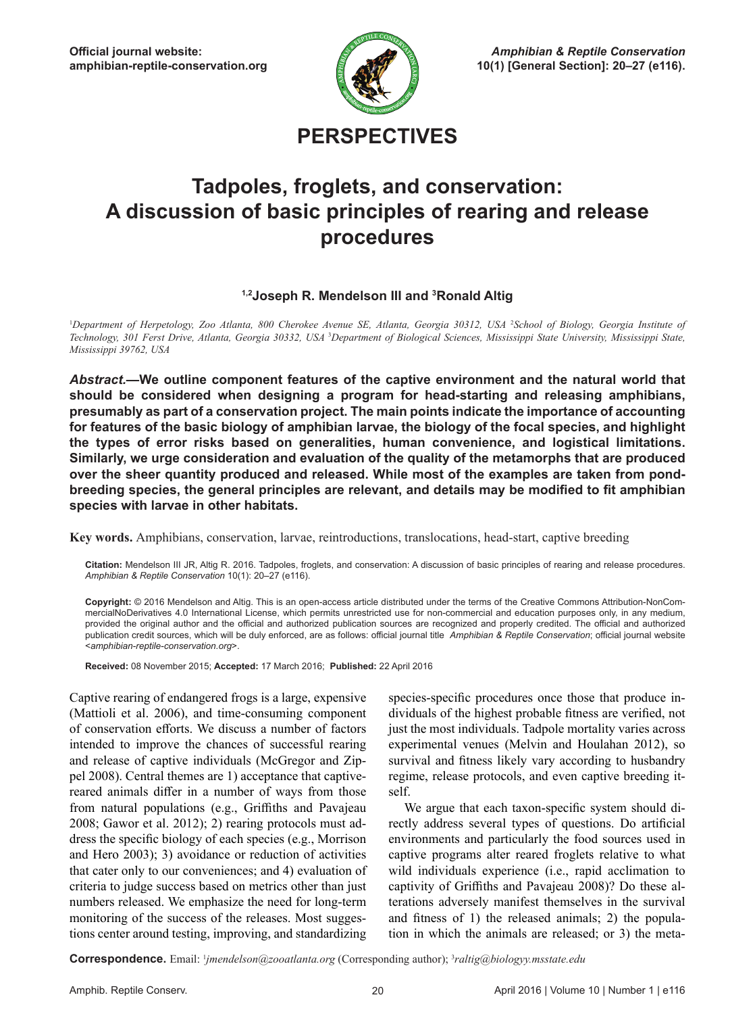

**PERSPECTIVES**

# **Tadpoles, froglets, and conservation: A discussion of basic principles of rearing and release procedures**

#### **1,2Joseph R. Mendelson III and 3 Ronald Altig**

<sup>1</sup>Department of Herpetology, Zoo Atlanta, 800 Cherokee Avenue SE, Atlanta, Georgia 30312, USA <sup>2</sup>School of Biology, Georgia Institute of Technology, 301 Ferst Drive, Atlanta, Georgia 30332, USA <sup>3</sup>Department of Biological Sciences, Mississippi State University, Mississippi State, *Mississippi 39762, USA*

*Abstract.—***We outline component features of the captive environment and the natural world that should be considered when designing a program for head-starting and releasing amphibians, presumably as part of a conservation project. The main points indicate the importance of accounting for features of the basic biology of amphibian larvae, the biology of the focal species, and highlight the types of error risks based on generalities, human convenience, and logistical limitations. Similarly, we urge consideration and evaluation of the quality of the metamorphs that are produced over the sheer quantity produced and released. While most of the examples are taken from pondbreeding species, the general principles are relevant, and details may be modified to fit amphibian species with larvae in other habitats.**

**Key words.** Amphibians, conservation, larvae, reintroductions, translocations, head-start, captive breeding

**Citation:** Mendelson III JR, Altig R. 2016. Tadpoles, froglets, and conservation: A discussion of basic principles of rearing and release procedures. *Amphibian & Reptile Conservation* 10(1): 20–27 (e116).

**Copyright:** © 2016 Mendelson and Altig. This is an open-access article distributed under the terms of the Creative Commons Attribution-NonCommercialNoDerivatives 4.0 International License, which permits unrestricted use for non-commercial and education purposes only, in any medium, provided the original author and the official and authorized publication sources are recognized and properly credited. The official and authorized publication credit sources, which will be duly enforced, are as follows: official journal title *Amphibian & Reptile Conservation*; official journal website <*amphibian-reptile-conservation.org*>.

**Received:** 08 November 2015; **Accepted:** 17 March 2016; **Published:** 22 April 2016

Captive rearing of endangered frogs is a large, expensive (Mattioli et al. 2006), and time-consuming component of conservation efforts. We discuss a number of factors intended to improve the chances of successful rearing and release of captive individuals (McGregor and Zippel 2008). Central themes are 1) acceptance that captivereared animals differ in a number of ways from those from natural populations (e.g., Griffiths and Pavajeau 2008; Gawor et al. 2012); 2) rearing protocols must address the specific biology of each species (e.g., Morrison and Hero 2003); 3) avoidance or reduction of activities that cater only to our conveniences; and 4) evaluation of criteria to judge success based on metrics other than just numbers released. We emphasize the need for long-term monitoring of the success of the releases. Most suggestions center around testing, improving, and standardizing

species-specific procedures once those that produce individuals of the highest probable fitness are verified, not just the most individuals. Tadpole mortality varies across experimental venues (Melvin and Houlahan 2012), so survival and fitness likely vary according to husbandry regime, release protocols, and even captive breeding itself.

We argue that each taxon-specific system should directly address several types of questions. Do artificial environments and particularly the food sources used in captive programs alter reared froglets relative to what wild individuals experience (i.e., rapid acclimation to captivity of Griffiths and Pavajeau 2008)? Do these alterations adversely manifest themselves in the survival and fitness of 1) the released animals; 2) the population in which the animals are released; or 3) the meta-

**Correspondence.** Email: 1 *jmendelson@zooatlanta.org* (Corresponding author); 3 *raltig@biologyy.msstate.edu*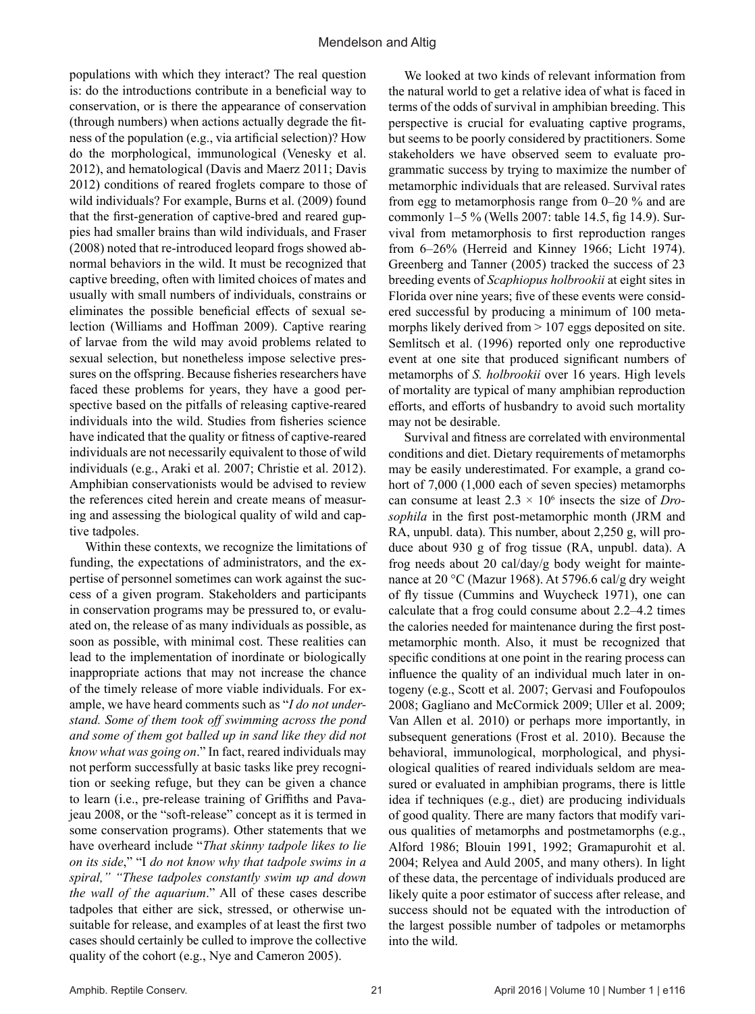populations with which they interact? The real question is: do the introductions contribute in a beneficial way to conservation, or is there the appearance of conservation (through numbers) when actions actually degrade the fitness of the population (e.g., via artificial selection)? How do the morphological, immunological (Venesky et al. 2012), and hematological (Davis and Maerz 2011; Davis 2012) conditions of reared froglets compare to those of wild individuals? For example, Burns et al. (2009) found that the first-generation of captive-bred and reared guppies had smaller brains than wild individuals, and Fraser (2008) noted that re-introduced leopard frogs showed abnormal behaviors in the wild. It must be recognized that captive breeding, often with limited choices of mates and usually with small numbers of individuals, constrains or eliminates the possible beneficial effects of sexual selection (Williams and Hoffman 2009). Captive rearing of larvae from the wild may avoid problems related to sexual selection, but nonetheless impose selective pressures on the offspring. Because fisheries researchers have faced these problems for years, they have a good perspective based on the pitfalls of releasing captive-reared individuals into the wild. Studies from fisheries science have indicated that the quality or fitness of captive-reared individuals are not necessarily equivalent to those of wild individuals (e.g., Araki et al. 2007; Christie et al. 2012). Amphibian conservationists would be advised to review the references cited herein and create means of measuring and assessing the biological quality of wild and captive tadpoles.

Within these contexts, we recognize the limitations of funding, the expectations of administrators, and the expertise of personnel sometimes can work against the success of a given program. Stakeholders and participants in conservation programs may be pressured to, or evaluated on, the release of as many individuals as possible, as soon as possible, with minimal cost. These realities can lead to the implementation of inordinate or biologically inappropriate actions that may not increase the chance of the timely release of more viable individuals. For example, we have heard comments such as "*I do not understand. Some of them took off swimming across the pond and some of them got balled up in sand like they did not know what was going on*." In fact, reared individuals may not perform successfully at basic tasks like prey recognition or seeking refuge, but they can be given a chance to learn (i.e., pre-release training of Griffiths and Pavajeau 2008, or the "soft-release" concept as it is termed in some conservation programs). Other statements that we have overheard include "*That skinny tadpole likes to lie on its side*," "I *do not know why that tadpole swims in a spiral," "These tadpoles constantly swim up and down the wall of the aquarium*." All of these cases describe tadpoles that either are sick, stressed, or otherwise unsuitable for release, and examples of at least the first two cases should certainly be culled to improve the collective quality of the cohort (e.g., Nye and Cameron 2005).

We looked at two kinds of relevant information from the natural world to get a relative idea of what is faced in terms of the odds of survival in amphibian breeding. This perspective is crucial for evaluating captive programs, but seems to be poorly considered by practitioners. Some stakeholders we have observed seem to evaluate programmatic success by trying to maximize the number of metamorphic individuals that are released. Survival rates from egg to metamorphosis range from 0–20 % and are commonly 1–5 % (Wells 2007: table 14.5, fig 14.9). Survival from metamorphosis to first reproduction ranges from 6–26% (Herreid and Kinney 1966; Licht 1974). Greenberg and Tanner (2005) tracked the success of 23 breeding events of *Scaphiopus holbrookii* at eight sites in Florida over nine years; five of these events were considered successful by producing a minimum of 100 metamorphs likely derived from  $> 107$  eggs deposited on site. Semlitsch et al. (1996) reported only one reproductive event at one site that produced significant numbers of metamorphs of *S. holbrookii* over 16 years. High levels of mortality are typical of many amphibian reproduction efforts, and efforts of husbandry to avoid such mortality may not be desirable.

Survival and fitness are correlated with environmental conditions and diet. Dietary requirements of metamorphs may be easily underestimated. For example, a grand cohort of 7,000 (1,000 each of seven species) metamorphs can consume at least  $2.3 \times 10^6$  insects the size of *Drosophila* in the first post-metamorphic month (JRM and RA, unpubl. data). This number, about 2,250 g, will produce about 930 g of frog tissue (RA, unpubl. data). A frog needs about 20 cal/day/g body weight for maintenance at 20 °C (Mazur 1968). At 5796.6 cal/g dry weight of fly tissue (Cummins and Wuycheck 1971), one can calculate that a frog could consume about 2.2–4.2 times the calories needed for maintenance during the first postmetamorphic month. Also, it must be recognized that specific conditions at one point in the rearing process can influence the quality of an individual much later in ontogeny (e.g., Scott et al. 2007; Gervasi and Foufopoulos 2008; Gagliano and McCormick 2009; Uller et al. 2009; Van Allen et al. 2010) or perhaps more importantly, in subsequent generations (Frost et al. 2010). Because the behavioral, immunological, morphological, and physiological qualities of reared individuals seldom are measured or evaluated in amphibian programs, there is little idea if techniques (e.g., diet) are producing individuals of good quality. There are many factors that modify various qualities of metamorphs and postmetamorphs (e.g., Alford 1986; Blouin 1991, 1992; Gramapurohit et al. 2004; Relyea and Auld 2005, and many others). In light of these data, the percentage of individuals produced are likely quite a poor estimator of success after release, and success should not be equated with the introduction of the largest possible number of tadpoles or metamorphs into the wild.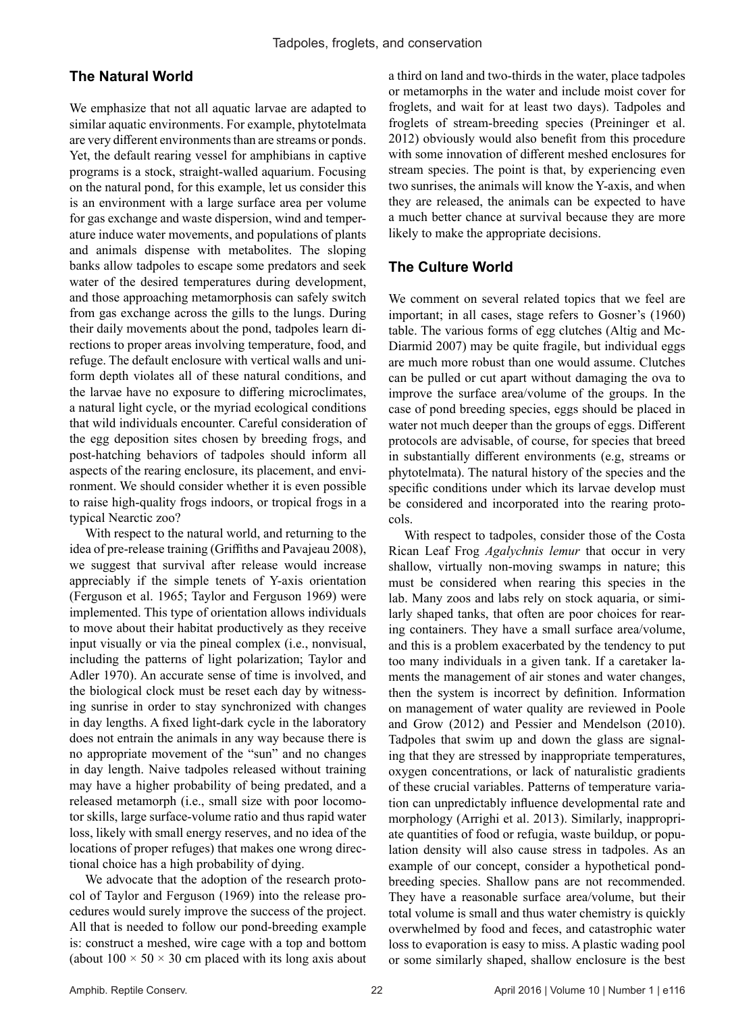## **The Natural World**

We emphasize that not all aquatic larvae are adapted to similar aquatic environments. For example, phytotelmata are very different environments than are streams or ponds. Yet, the default rearing vessel for amphibians in captive programs is a stock, straight-walled aquarium. Focusing on the natural pond, for this example, let us consider this is an environment with a large surface area per volume for gas exchange and waste dispersion, wind and temperature induce water movements, and populations of plants and animals dispense with metabolites. The sloping banks allow tadpoles to escape some predators and seek water of the desired temperatures during development, and those approaching metamorphosis can safely switch from gas exchange across the gills to the lungs. During their daily movements about the pond, tadpoles learn directions to proper areas involving temperature, food, and refuge. The default enclosure with vertical walls and uniform depth violates all of these natural conditions, and the larvae have no exposure to differing microclimates, a natural light cycle, or the myriad ecological conditions that wild individuals encounter. Careful consideration of the egg deposition sites chosen by breeding frogs, and post-hatching behaviors of tadpoles should inform all aspects of the rearing enclosure, its placement, and environment. We should consider whether it is even possible to raise high-quality frogs indoors, or tropical frogs in a typical Nearctic zoo?

With respect to the natural world, and returning to the idea of pre-release training (Griffiths and Pavajeau 2008), we suggest that survival after release would increase appreciably if the simple tenets of Y-axis orientation (Ferguson et al. 1965; Taylor and Ferguson 1969) were implemented. This type of orientation allows individuals to move about their habitat productively as they receive input visually or via the pineal complex (i.e., nonvisual, including the patterns of light polarization; Taylor and Adler 1970). An accurate sense of time is involved, and the biological clock must be reset each day by witnessing sunrise in order to stay synchronized with changes in day lengths. A fixed light-dark cycle in the laboratory does not entrain the animals in any way because there is no appropriate movement of the "sun" and no changes in day length. Naive tadpoles released without training may have a higher probability of being predated, and a released metamorph (i.e., small size with poor locomotor skills, large surface-volume ratio and thus rapid water loss, likely with small energy reserves, and no idea of the locations of proper refuges) that makes one wrong directional choice has a high probability of dying.

We advocate that the adoption of the research protocol of Taylor and Ferguson (1969) into the release procedures would surely improve the success of the project. All that is needed to follow our pond-breeding example is: construct a meshed, wire cage with a top and bottom (about  $100 \times 50 \times 30$  cm placed with its long axis about a third on land and two-thirds in the water, place tadpoles or metamorphs in the water and include moist cover for froglets, and wait for at least two days). Tadpoles and froglets of stream-breeding species (Preininger et al. 2012) obviously would also benefit from this procedure with some innovation of different meshed enclosures for stream species. The point is that, by experiencing even two sunrises, the animals will know the Y-axis, and when they are released, the animals can be expected to have a much better chance at survival because they are more likely to make the appropriate decisions.

## **The Culture World**

We comment on several related topics that we feel are important; in all cases, stage refers to Gosner's (1960) table. The various forms of egg clutches (Altig and Mc-Diarmid 2007) may be quite fragile, but individual eggs are much more robust than one would assume. Clutches can be pulled or cut apart without damaging the ova to improve the surface area/volume of the groups. In the case of pond breeding species, eggs should be placed in water not much deeper than the groups of eggs. Different protocols are advisable, of course, for species that breed in substantially different environments (e.g, streams or phytotelmata). The natural history of the species and the specific conditions under which its larvae develop must be considered and incorporated into the rearing protocols.

With respect to tadpoles, consider those of the Costa Rican Leaf Frog *Agalychnis lemur* that occur in very shallow, virtually non-moving swamps in nature; this must be considered when rearing this species in the lab. Many zoos and labs rely on stock aquaria, or similarly shaped tanks, that often are poor choices for rearing containers. They have a small surface area/volume, and this is a problem exacerbated by the tendency to put too many individuals in a given tank. If a caretaker laments the management of air stones and water changes, then the system is incorrect by definition. Information on management of water quality are reviewed in Poole and Grow (2012) and Pessier and Mendelson (2010). Tadpoles that swim up and down the glass are signaling that they are stressed by inappropriate temperatures, oxygen concentrations, or lack of naturalistic gradients of these crucial variables. Patterns of temperature variation can unpredictably influence developmental rate and morphology (Arrighi et al. 2013). Similarly, inappropriate quantities of food or refugia, waste buildup, or population density will also cause stress in tadpoles. As an example of our concept, consider a hypothetical pondbreeding species. Shallow pans are not recommended. They have a reasonable surface area/volume, but their total volume is small and thus water chemistry is quickly overwhelmed by food and feces, and catastrophic water loss to evaporation is easy to miss. A plastic wading pool or some similarly shaped, shallow enclosure is the best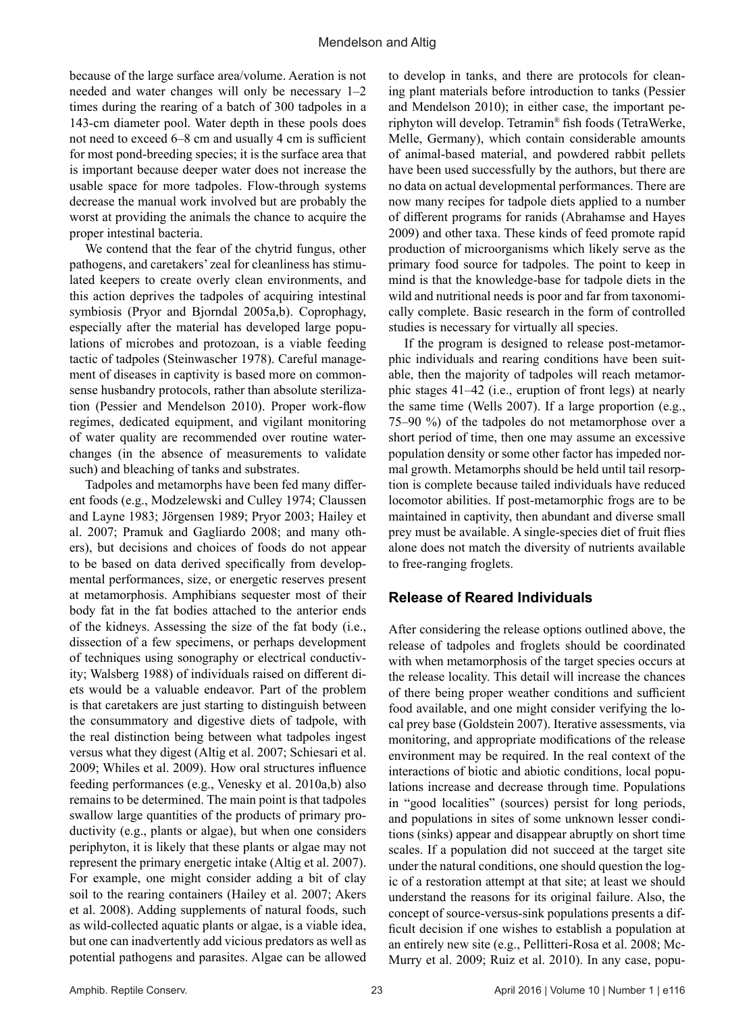because of the large surface area/volume. Aeration is not needed and water changes will only be necessary 1–2 times during the rearing of a batch of 300 tadpoles in a 143-cm diameter pool. Water depth in these pools does not need to exceed 6–8 cm and usually 4 cm is sufficient for most pond-breeding species; it is the surface area that is important because deeper water does not increase the usable space for more tadpoles. Flow-through systems decrease the manual work involved but are probably the worst at providing the animals the chance to acquire the proper intestinal bacteria.

We contend that the fear of the chytrid fungus, other pathogens, and caretakers' zeal for cleanliness has stimulated keepers to create overly clean environments, and this action deprives the tadpoles of acquiring intestinal symbiosis (Pryor and Bjorndal 2005a,b). Coprophagy, especially after the material has developed large populations of microbes and protozoan, is a viable feeding tactic of tadpoles (Steinwascher 1978). Careful management of diseases in captivity is based more on commonsense husbandry protocols, rather than absolute sterilization (Pessier and Mendelson 2010). Proper work-flow regimes, dedicated equipment, and vigilant monitoring of water quality are recommended over routine waterchanges (in the absence of measurements to validate such) and bleaching of tanks and substrates.

Tadpoles and metamorphs have been fed many different foods (e.g., Modzelewski and Culley 1974; Claussen and Layne 1983; Jörgensen 1989; Pryor 2003; Hailey et al. 2007; Pramuk and Gagliardo 2008; and many others), but decisions and choices of foods do not appear to be based on data derived specifically from developmental performances, size, or energetic reserves present at metamorphosis. Amphibians sequester most of their body fat in the fat bodies attached to the anterior ends of the kidneys. Assessing the size of the fat body (i.e., dissection of a few specimens, or perhaps development of techniques using sonography or electrical conductivity; Walsberg 1988) of individuals raised on different diets would be a valuable endeavor. Part of the problem is that caretakers are just starting to distinguish between the consummatory and digestive diets of tadpole, with the real distinction being between what tadpoles ingest versus what they digest (Altig et al. 2007; Schiesari et al. 2009; Whiles et al. 2009). How oral structures influence feeding performances (e.g., Venesky et al. 2010a,b) also remains to be determined. The main point is that tadpoles swallow large quantities of the products of primary productivity (e.g., plants or algae), but when one considers periphyton, it is likely that these plants or algae may not represent the primary energetic intake (Altig et al. 2007). For example, one might consider adding a bit of clay soil to the rearing containers (Hailey et al. 2007; Akers et al. 2008). Adding supplements of natural foods, such as wild-collected aquatic plants or algae, is a viable idea, but one can inadvertently add vicious predators as well as potential pathogens and parasites. Algae can be allowed

to develop in tanks, and there are protocols for cleaning plant materials before introduction to tanks (Pessier and Mendelson 2010); in either case, the important periphyton will develop. Tetramin® fish foods (TetraWerke, Melle, Germany), which contain considerable amounts of animal-based material, and powdered rabbit pellets have been used successfully by the authors, but there are no data on actual developmental performances. There are now many recipes for tadpole diets applied to a number of different programs for ranids (Abrahamse and Hayes 2009) and other taxa. These kinds of feed promote rapid production of microorganisms which likely serve as the primary food source for tadpoles. The point to keep in mind is that the knowledge-base for tadpole diets in the wild and nutritional needs is poor and far from taxonomically complete. Basic research in the form of controlled studies is necessary for virtually all species.

If the program is designed to release post-metamorphic individuals and rearing conditions have been suitable, then the majority of tadpoles will reach metamorphic stages 41–42 (i.e., eruption of front legs) at nearly the same time (Wells 2007). If a large proportion (e.g., 75–90 %) of the tadpoles do not metamorphose over a short period of time, then one may assume an excessive population density or some other factor has impeded normal growth. Metamorphs should be held until tail resorption is complete because tailed individuals have reduced locomotor abilities. If post-metamorphic frogs are to be maintained in captivity, then abundant and diverse small prey must be available. A single-species diet of fruit flies alone does not match the diversity of nutrients available to free-ranging froglets.

#### **Release of Reared Individuals**

After considering the release options outlined above, the release of tadpoles and froglets should be coordinated with when metamorphosis of the target species occurs at the release locality. This detail will increase the chances of there being proper weather conditions and sufficient food available, and one might consider verifying the local prey base (Goldstein 2007). Iterative assessments, via monitoring, and appropriate modifications of the release environment may be required. In the real context of the interactions of biotic and abiotic conditions, local populations increase and decrease through time. Populations in "good localities" (sources) persist for long periods, and populations in sites of some unknown lesser conditions (sinks) appear and disappear abruptly on short time scales. If a population did not succeed at the target site under the natural conditions, one should question the logic of a restoration attempt at that site; at least we should understand the reasons for its original failure. Also, the concept of source-versus-sink populations presents a difficult decision if one wishes to establish a population at an entirely new site (e.g., Pellitteri-Rosa et al. 2008; Mc-Murry et al. 2009; Ruiz et al. 2010). In any case, popu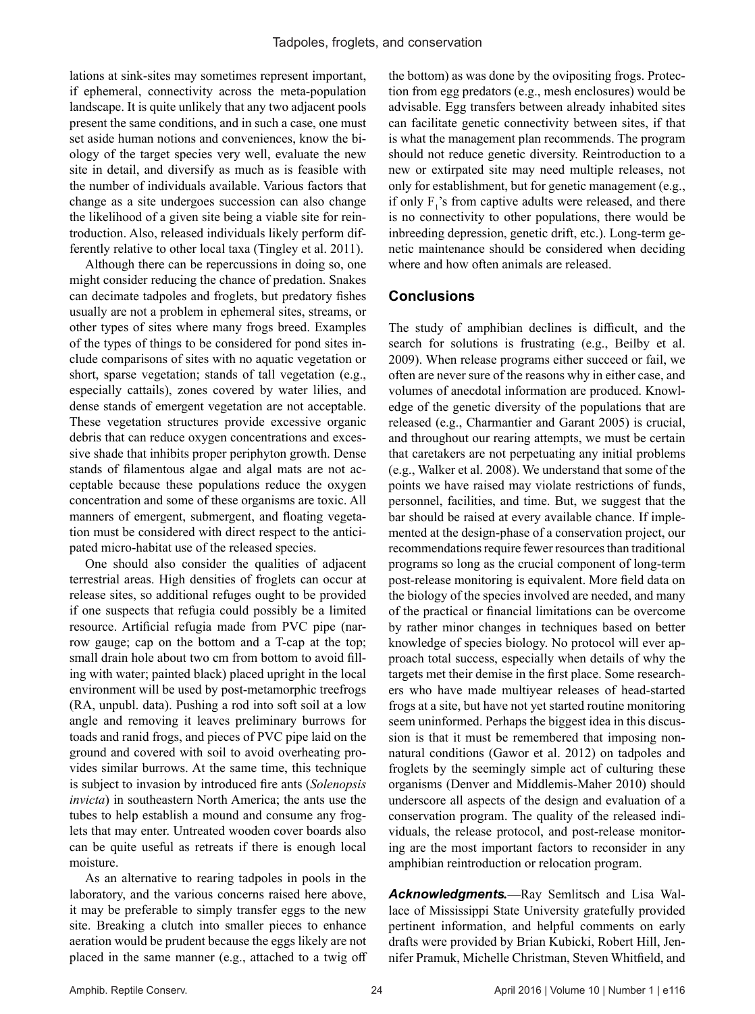lations at sink-sites may sometimes represent important, if ephemeral, connectivity across the meta-population landscape. It is quite unlikely that any two adjacent pools present the same conditions, and in such a case, one must set aside human notions and conveniences, know the biology of the target species very well, evaluate the new site in detail, and diversify as much as is feasible with the number of individuals available. Various factors that change as a site undergoes succession can also change the likelihood of a given site being a viable site for reintroduction. Also, released individuals likely perform differently relative to other local taxa (Tingley et al. 2011).

Although there can be repercussions in doing so, one might consider reducing the chance of predation. Snakes can decimate tadpoles and froglets, but predatory fishes usually are not a problem in ephemeral sites, streams, or other types of sites where many frogs breed. Examples of the types of things to be considered for pond sites include comparisons of sites with no aquatic vegetation or short, sparse vegetation; stands of tall vegetation (e.g., especially cattails), zones covered by water lilies, and dense stands of emergent vegetation are not acceptable. These vegetation structures provide excessive organic debris that can reduce oxygen concentrations and excessive shade that inhibits proper periphyton growth. Dense stands of filamentous algae and algal mats are not acceptable because these populations reduce the oxygen concentration and some of these organisms are toxic. All manners of emergent, submergent, and floating vegetation must be considered with direct respect to the anticipated micro-habitat use of the released species.

One should also consider the qualities of adjacent terrestrial areas. High densities of froglets can occur at release sites, so additional refuges ought to be provided if one suspects that refugia could possibly be a limited resource. Artificial refugia made from PVC pipe (narrow gauge; cap on the bottom and a T-cap at the top; small drain hole about two cm from bottom to avoid filling with water; painted black) placed upright in the local environment will be used by post-metamorphic treefrogs (RA, unpubl. data). Pushing a rod into soft soil at a low angle and removing it leaves preliminary burrows for toads and ranid frogs, and pieces of PVC pipe laid on the ground and covered with soil to avoid overheating provides similar burrows. At the same time, this technique is subject to invasion by introduced fire ants (*Solenopsis invicta*) in southeastern North America; the ants use the tubes to help establish a mound and consume any froglets that may enter. Untreated wooden cover boards also can be quite useful as retreats if there is enough local moisture.

As an alternative to rearing tadpoles in pools in the laboratory, and the various concerns raised here above, it may be preferable to simply transfer eggs to the new site. Breaking a clutch into smaller pieces to enhance aeration would be prudent because the eggs likely are not placed in the same manner (e.g., attached to a twig off

the bottom) as was done by the ovipositing frogs. Protection from egg predators (e.g., mesh enclosures) would be advisable. Egg transfers between already inhabited sites can facilitate genetic connectivity between sites, if that is what the management plan recommends. The program should not reduce genetic diversity. Reintroduction to a new or extirpated site may need multiple releases, not only for establishment, but for genetic management (e.g., if only  $F_1$ 's from captive adults were released, and there is no connectivity to other populations, there would be inbreeding depression, genetic drift, etc.). Long-term genetic maintenance should be considered when deciding where and how often animals are released.

#### **Conclusions**

The study of amphibian declines is difficult, and the search for solutions is frustrating (e.g., Beilby et al. 2009). When release programs either succeed or fail, we often are never sure of the reasons why in either case, and volumes of anecdotal information are produced. Knowledge of the genetic diversity of the populations that are released (e.g., Charmantier and Garant 2005) is crucial, and throughout our rearing attempts, we must be certain that caretakers are not perpetuating any initial problems (e.g., Walker et al. 2008). We understand that some of the points we have raised may violate restrictions of funds, personnel, facilities, and time. But, we suggest that the bar should be raised at every available chance. If implemented at the design-phase of a conservation project, our recommendations require fewer resources than traditional programs so long as the crucial component of long-term post-release monitoring is equivalent. More field data on the biology of the species involved are needed, and many of the practical or financial limitations can be overcome by rather minor changes in techniques based on better knowledge of species biology. No protocol will ever approach total success, especially when details of why the targets met their demise in the first place. Some researchers who have made multiyear releases of head-started frogs at a site, but have not yet started routine monitoring seem uninformed. Perhaps the biggest idea in this discussion is that it must be remembered that imposing nonnatural conditions (Gawor et al. 2012) on tadpoles and froglets by the seemingly simple act of culturing these organisms (Denver and Middlemis-Maher 2010) should underscore all aspects of the design and evaluation of a conservation program. The quality of the released individuals, the release protocol, and post-release monitoring are the most important factors to reconsider in any amphibian reintroduction or relocation program.

*Acknowledgments.*—Ray Semlitsch and Lisa Wallace of Mississippi State University gratefully provided pertinent information, and helpful comments on early drafts were provided by Brian Kubicki, Robert Hill, Jennifer Pramuk, Michelle Christman, Steven Whitfield, and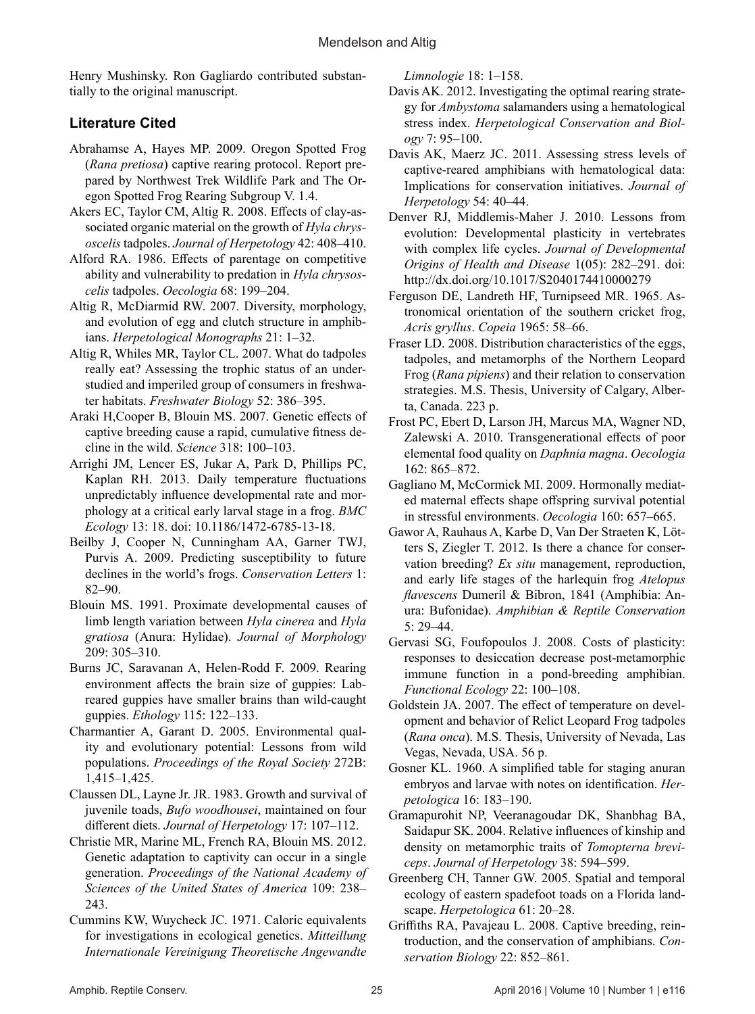Henry Mushinsky. Ron Gagliardo contributed substantially to the original manuscript.

## **Literature Cited**

- Abrahamse A, Hayes MP. 2009. Oregon Spotted Frog (*Rana pretiosa*) captive rearing protocol. Report prepared by Northwest Trek Wildlife Park and The Oregon Spotted Frog Rearing Subgroup V. 1.4.
- Akers EC, Taylor CM, Altig R. 2008. Effects of clay-associated organic material on the growth of *Hyla chrysoscelis* tadpoles. *Journal of Herpetology* 42: 408–410.
- Alford RA. 1986. Effects of parentage on competitive ability and vulnerability to predation in *Hyla chrysoscelis* tadpoles. *Oecologia* 68: 199–204.
- Altig R, McDiarmid RW. 2007. Diversity, morphology, and evolution of egg and clutch structure in amphibians. *Herpetological Monographs* 21: 1–32.
- Altig R, Whiles MR, Taylor CL. 2007. What do tadpoles really eat? Assessing the trophic status of an understudied and imperiled group of consumers in freshwater habitats. *Freshwater Biology* 52: 386–395.
- Araki H,Cooper B, Blouin MS. 2007. Genetic effects of captive breeding cause a rapid, cumulative fitness decline in the wild. *Science* 318: 100–103.
- Arrighi JM, Lencer ES, Jukar A, Park D, Phillips PC, Kaplan RH. 2013. Daily temperature fluctuations unpredictably influence developmental rate and morphology at a critical early larval stage in a frog. *BMC Ecology* 13: 18. doi: 10.1186/1472-6785-13-18.
- Beilby J, Cooper N, Cunningham AA, Garner TWJ, Purvis A. 2009. Predicting susceptibility to future declines in the world's frogs. *Conservation Letters* 1: 82–90.
- Blouin MS. 1991. Proximate developmental causes of limb length variation between *Hyla cinerea* and *Hyla gratiosa* (Anura: Hylidae). *Journal of Morphology* 209: 305–310.
- Burns JC, Saravanan A, Helen-Rodd F. 2009. Rearing environment affects the brain size of guppies: Labreared guppies have smaller brains than wild-caught guppies. *Ethology* 115: 122–133.
- Charmantier A, Garant D. 2005. Environmental quality and evolutionary potential: Lessons from wild populations. *Proceedings of the Royal Society* 272B: 1,415–1,425.
- Claussen DL, Layne Jr. JR. 1983. Growth and survival of juvenile toads, *Bufo woodhousei*, maintained on four different diets. *Journal of Herpetology* 17: 107–112.
- Christie MR, Marine ML, French RA, Blouin MS. 2012. Genetic adaptation to captivity can occur in a single generation. *Proceedings of the National Academy of Sciences of the United States of America* 109: 238– 243.
- Cummins KW, Wuycheck JC. 1971. Caloric equivalents for investigations in ecological genetics. *Mitteillung Internationale Vereinigung Theoretische Angewandte*

*Limnologie* 18: 1–158.

- Davis AK. 2012. Investigating the optimal rearing strategy for *Ambystoma* salamanders using a hematological stress index. *Herpetological Conservation and Biology* 7: 95–100.
- Davis AK, Maerz JC. 2011. Assessing stress levels of captive-reared amphibians with hematological data: Implications for conservation initiatives. *Journal of Herpetology* 54: 40–44.
- Denver RJ, Middlemis-Maher J. 2010. Lessons from evolution: Developmental plasticity in vertebrates with complex life cycles. *Journal of Developmental Origins of Health and Disease* 1(05): 282–291. doi: http://dx.doi.org/10.1017/S2040174410000279
- Ferguson DE, Landreth HF, Turnipseed MR. 1965. Astronomical orientation of the southern cricket frog, *Acris gryllus*. *Copeia* 1965: 58–66.
- Fraser LD. 2008. Distribution characteristics of the eggs, tadpoles, and metamorphs of the Northern Leopard Frog (*Rana pipiens*) and their relation to conservation strategies. M.S. Thesis, University of Calgary, Alberta, Canada. 223 p.
- Frost PC, Ebert D, Larson JH, Marcus MA, Wagner ND, Zalewski A. 2010. Transgenerational effects of poor elemental food quality on *Daphnia magna*. *Oecologia* 162: 865–872.
- Gagliano M, McCormick MI. 2009. Hormonally mediated maternal effects shape offspring survival potential in stressful environments. *Oecologia* 160: 657–665.
- Gawor A, Rauhaus A, Karbe D, Van Der Straeten K, Lötters S, Ziegler T. 2012. Is there a chance for conservation breeding? *Ex situ* management, reproduction, and early life stages of the harlequin frog *Atelopus flavescens* Dumeríl & Bibron, 1841 (Amphibia: Anura: Bufonidae). *Amphibian & Reptile Conservation*  5: 29–44.
- Gervasi SG, Foufopoulos J. 2008. Costs of plasticity: responses to desiccation decrease post-metamorphic immune function in a pond-breeding amphibian. *Functional Ecology* 22: 100–108.
- Goldstein JA. 2007. The effect of temperature on development and behavior of Relict Leopard Frog tadpoles (*Rana onca*). M.S. Thesis, University of Nevada, Las Vegas, Nevada, USA. 56 p.
- Gosner KL. 1960. A simplified table for staging anuran embryos and larvae with notes on identification. *Herpetologica* 16: 183–190.
- Gramapurohit NP, Veeranagoudar DK, Shanbhag BA, Saidapur SK. 2004. Relative influences of kinship and density on metamorphic traits of *Tomopterna breviceps*. *Journal of Herpetology* 38: 594–599.
- Greenberg CH, Tanner GW. 2005. Spatial and temporal ecology of eastern spadefoot toads on a Florida landscape. *Herpetologica* 61: 20–28.
- Griffiths RA, Pavajeau L. 2008. Captive breeding, reintroduction, and the conservation of amphibians. *Conservation Biology* 22: 852–861.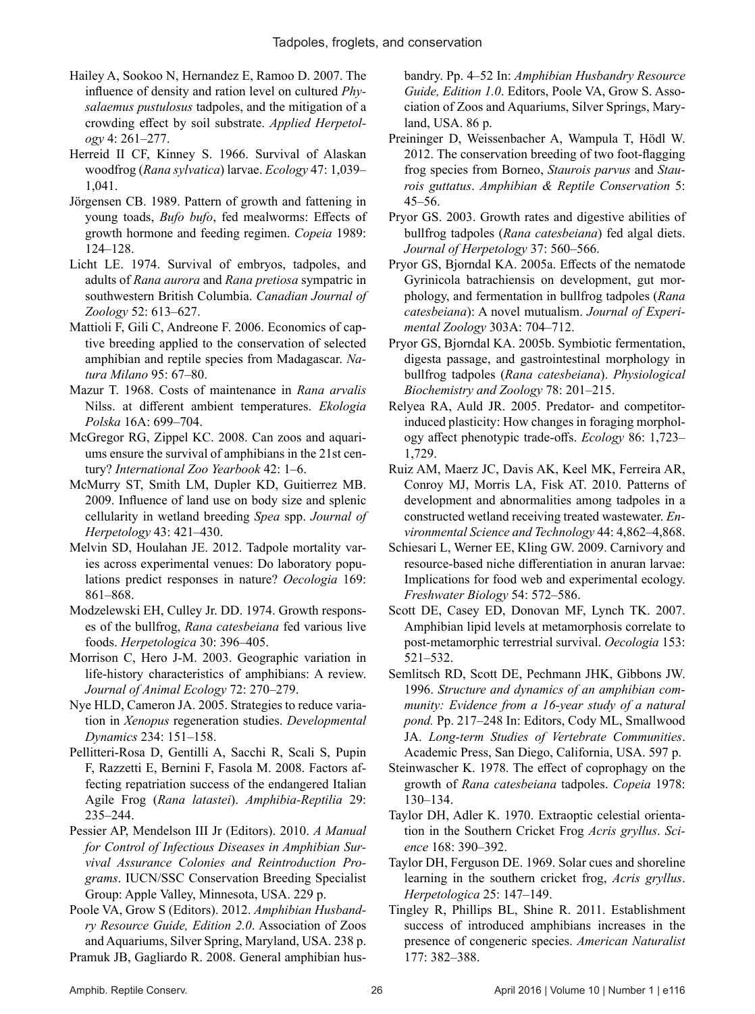- Hailey A, Sookoo N, Hernandez E, Ramoo D. 2007. The influence of density and ration level on cultured *Physalaemus pustulosus* tadpoles, and the mitigation of a crowding effect by soil substrate. *Applied Herpetology* 4: 261–277.
- Herreid II CF, Kinney S. 1966. Survival of Alaskan woodfrog (*Rana sylvatica*) larvae. *Ecology* 47: 1,039– 1,041.
- Jörgensen CB. 1989. Pattern of growth and fattening in young toads, *Bufo bufo*, fed mealworms: Effects of growth hormone and feeding regimen. *Copeia* 1989: 124–128.
- Licht LE. 1974. Survival of embryos, tadpoles, and adults of *Rana aurora* and *Rana pretiosa* sympatric in southwestern British Columbia. *Canadian Journal of Zoology* 52: 613–627.
- Mattioli F, Gili C, Andreone F. 2006. Economics of captive breeding applied to the conservation of selected amphibian and reptile species from Madagascar. *Natura Milano* 95: 67–80.
- Mazur T. 1968. Costs of maintenance in *Rana arvalis* Nilss. at different ambient temperatures. *Ekologia Polska* 16A: 699–704.
- McGregor RG, Zippel KC. 2008. Can zoos and aquariums ensure the survival of amphibians in the 21st century? *International Zoo Yearbook* 42: 1–6.
- McMurry ST, Smith LM, Dupler KD, Guitierrez MB. 2009. Influence of land use on body size and splenic cellularity in wetland breeding *Spea* spp. *Journal of Herpetology* 43: 421–430.
- Melvin SD, Houlahan JE. 2012. Tadpole mortality varies across experimental venues: Do laboratory populations predict responses in nature? *Oecologia* 169: 861–868.
- Modzelewski EH, Culley Jr. DD. 1974. Growth responses of the bullfrog, *Rana catesbeiana* fed various live foods. *Herpetologica* 30: 396–405.
- Morrison C, Hero J-M. 2003. Geographic variation in life-history characteristics of amphibians: A review. *Journal of Animal Ecology* 72: 270–279.
- Nye HLD, Cameron JA. 2005. Strategies to reduce variation in *Xenopus* regeneration studies. *Developmental Dynamics* 234: 151–158.
- Pellitteri-Rosa D, Gentilli A, Sacchi R, Scali S, Pupin F, Razzetti E, Bernini F, Fasola M. 2008. Factors affecting repatriation success of the endangered Italian Agile Frog (*Rana latastei*). *Amphibia-Reptilia* 29: 235–244.
- Pessier AP, Mendelson III Jr (Editors). 2010. *A Manual for Control of Infectious Diseases in Amphibian Survival Assurance Colonies and Reintroduction Programs*. IUCN/SSC Conservation Breeding Specialist Group: Apple Valley, Minnesota, USA. 229 p.

Poole VA, Grow S (Editors). 2012. *Amphibian Husbandry Resource Guide, Edition 2.0*. Association of Zoos and Aquariums, Silver Spring, Maryland, USA. 238 p. Pramuk JB, Gagliardo R. 2008. General amphibian husbandry. Pp. 4–52 In: *Amphibian Husbandry Resource Guide, Edition 1.0*. Editors, Poole VA, Grow S. Association of Zoos and Aquariums, Silver Springs, Maryland, USA. 86 p.

- Preininger D, Weissenbacher A, Wampula T, Hödl W. 2012. The conservation breeding of two foot-flagging frog species from Borneo, *Staurois parvus* and *Staurois guttatus*. *Amphibian & Reptile Conservation* 5: 45–56.
- Pryor GS. 2003. Growth rates and digestive abilities of bullfrog tadpoles (*Rana catesbeiana*) fed algal diets. *Journal of Herpetology* 37: 560–566.
- Pryor GS, Bjorndal KA. 2005a. Effects of the nematode Gyrinicola batrachiensis on development, gut morphology, and fermentation in bullfrog tadpoles (*Rana catesbeiana*): A novel mutualism. *Journal of Experimental Zoology* 303A: 704–712.
- Pryor GS, Bjorndal KA. 2005b. Symbiotic fermentation, digesta passage, and gastrointestinal morphology in bullfrog tadpoles (*Rana catesbeiana*). *Physiological Biochemistry and Zoology* 78: 201–215.
- Relyea RA, Auld JR. 2005. Predator- and competitorinduced plasticity: How changes in foraging morphology affect phenotypic trade-offs. *Ecology* 86: 1,723– 1,729.
- Ruiz AM, Maerz JC, Davis AK, Keel MK, Ferreira AR, Conroy MJ, Morris LA, Fisk AT. 2010. Patterns of development and abnormalities among tadpoles in a constructed wetland receiving treated wastewater. *Environmental Science and Technology* 44: 4,862–4,868.
- Schiesari L, Werner EE, Kling GW. 2009. Carnivory and resource-based niche differentiation in anuran larvae: Implications for food web and experimental ecology. *Freshwater Biology* 54: 572–586.
- Scott DE, Casey ED, Donovan MF, Lynch TK. 2007. Amphibian lipid levels at metamorphosis correlate to post-metamorphic terrestrial survival. *Oecologia* 153: 521–532.
- Semlitsch RD, Scott DE, Pechmann JHK, Gibbons JW. 1996. *Structure and dynamics of an amphibian community: Evidence from a 16-year study of a natural pond.* Pp. 217–248 In: Editors, Cody ML, Smallwood JA. *Long-term Studies of Vertebrate Communities*. Academic Press, San Diego, California, USA. 597 p.
- Steinwascher K. 1978. The effect of coprophagy on the growth of *Rana catesbeiana* tadpoles. *Copeia* 1978: 130–134.
- Taylor DH, Adler K. 1970. Extraoptic celestial orientation in the Southern Cricket Frog *Acris gryllus*. *Science* 168: 390–392.
- Taylor DH, Ferguson DE. 1969. Solar cues and shoreline learning in the southern cricket frog, *Acris gryllus*. *Herpetologica* 25: 147–149.
- Tingley R, Phillips BL, Shine R. 2011. Establishment success of introduced amphibians increases in the presence of congeneric species. *American Naturalist*  177: 382–388.